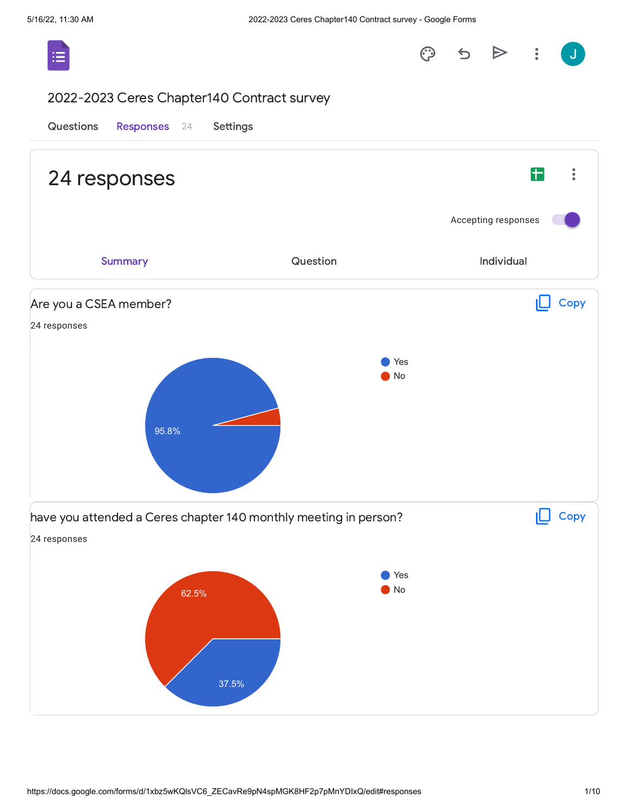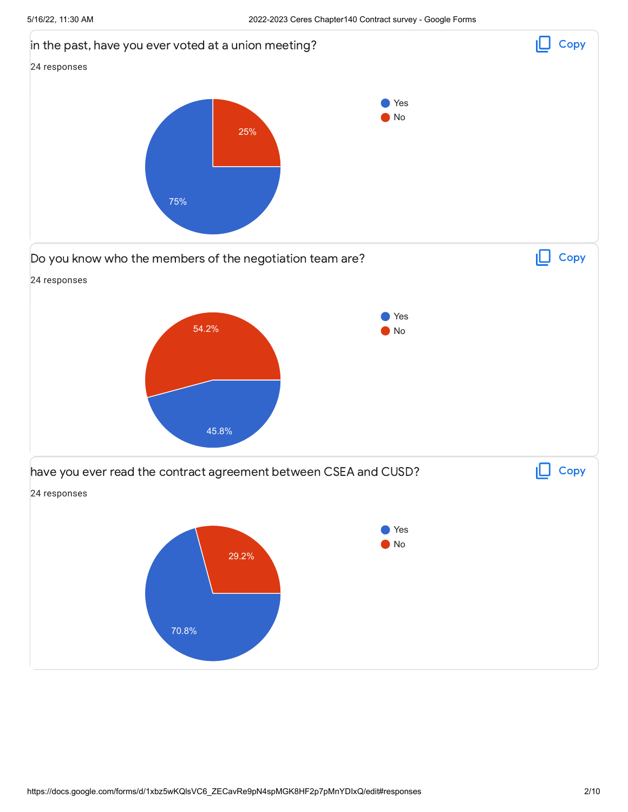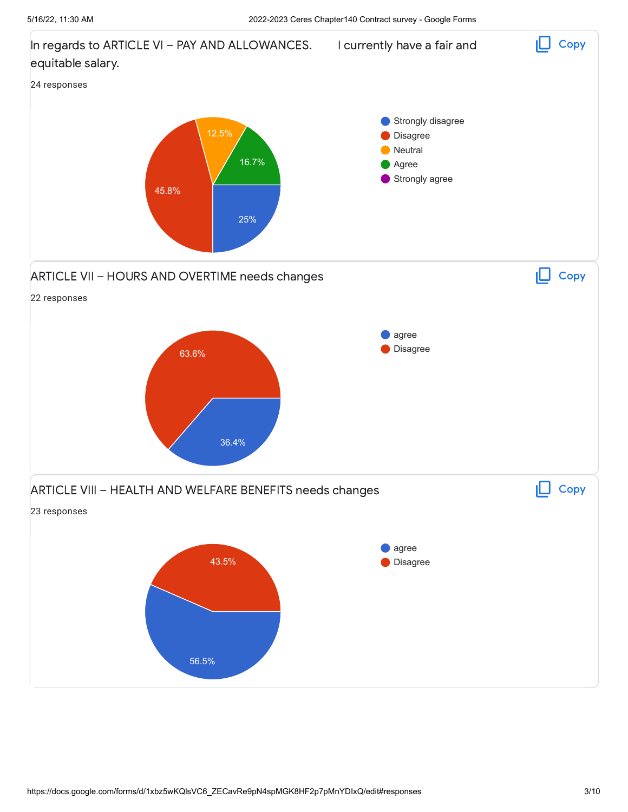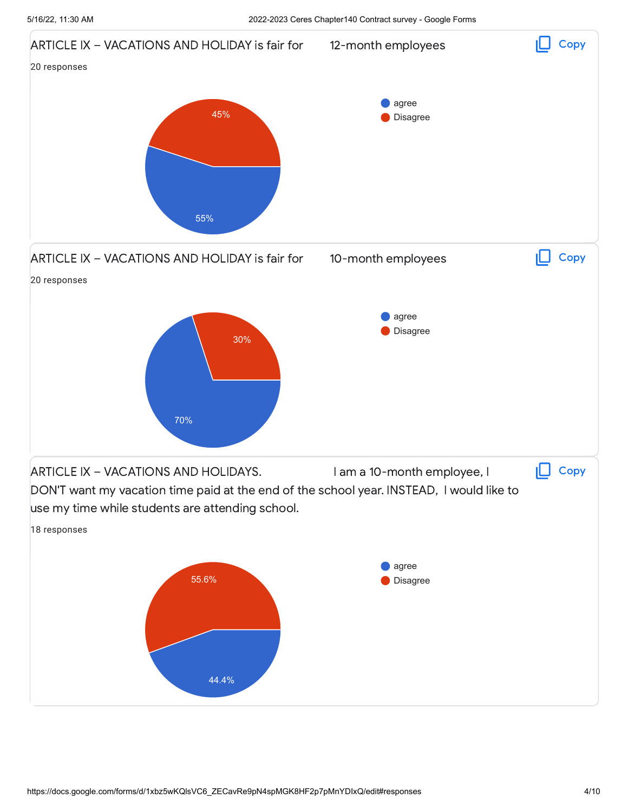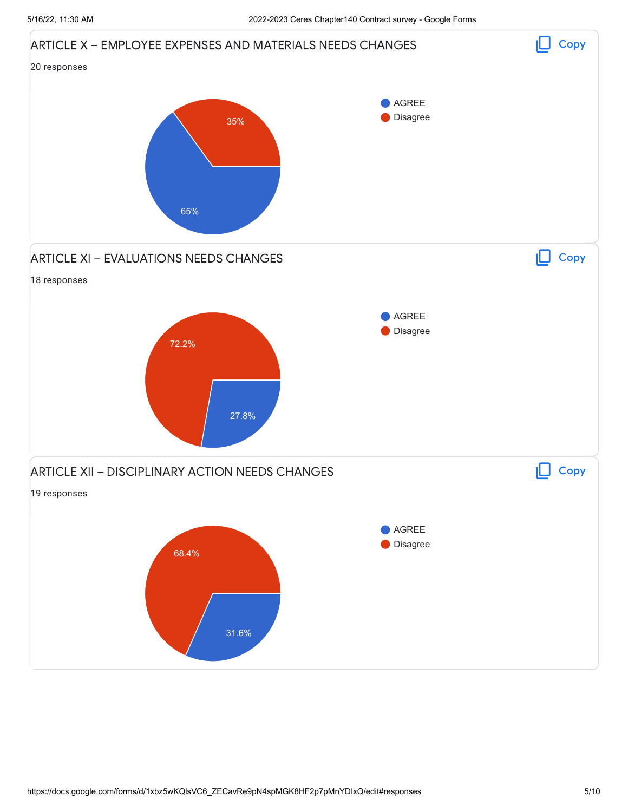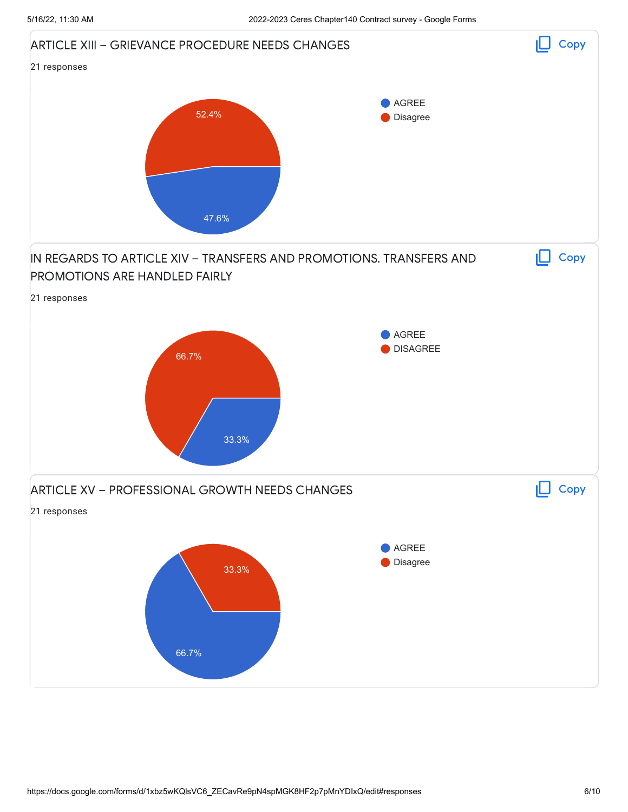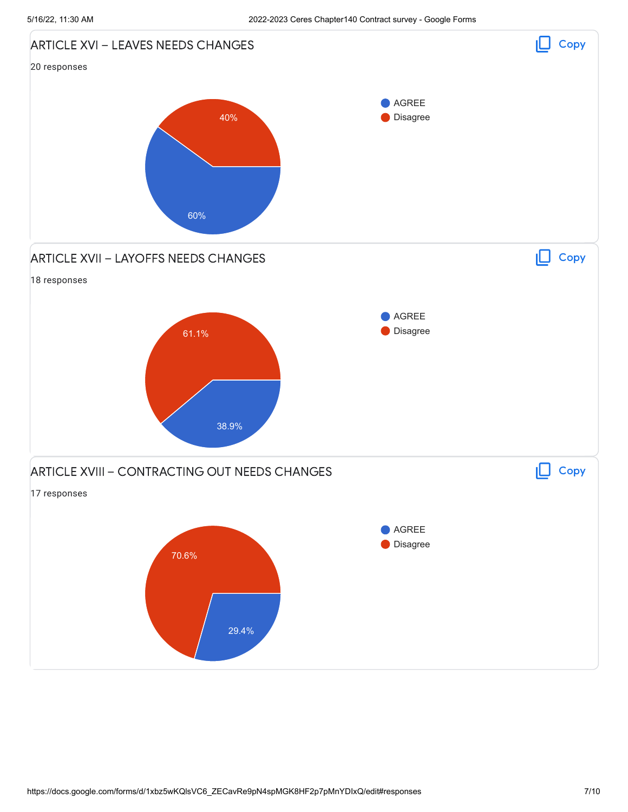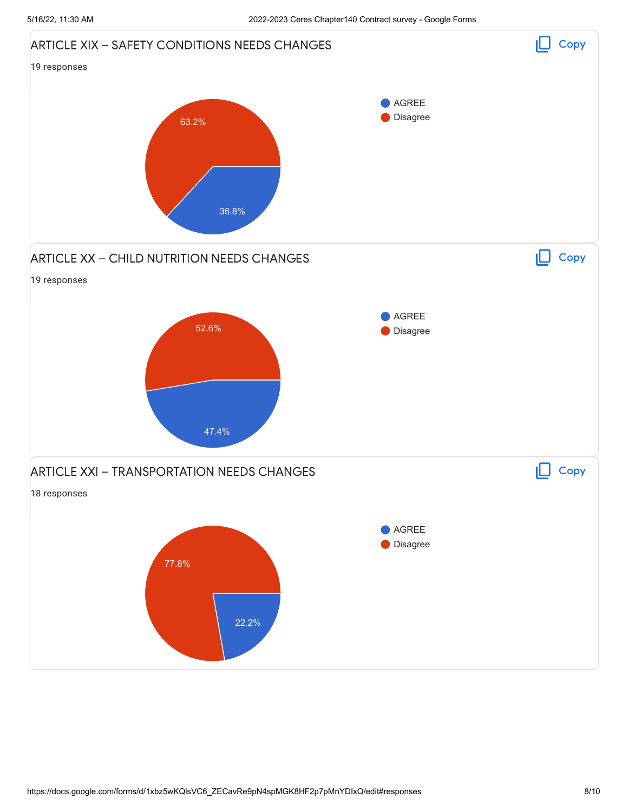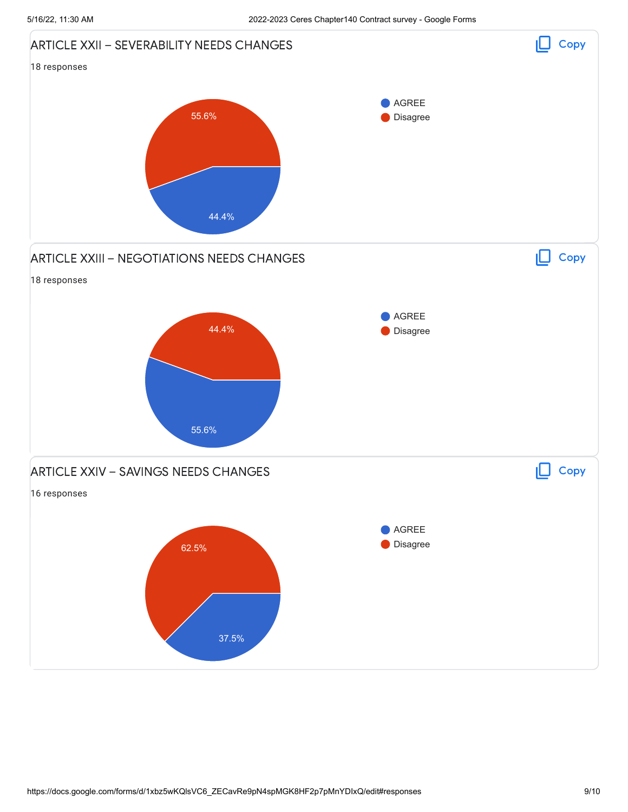